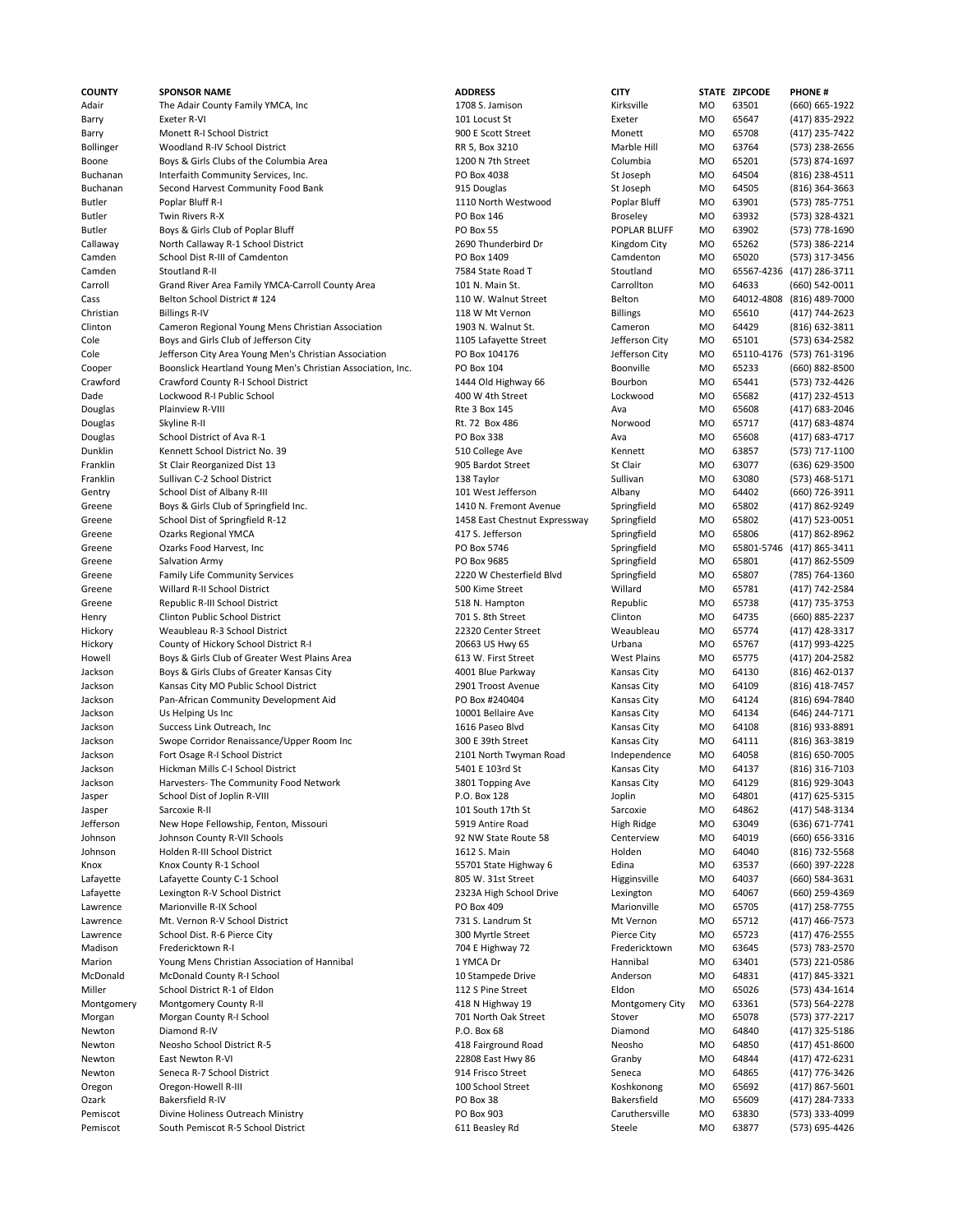| COUNTY     | <b>SPONSOR NAME</b>                                         | <b>ADDRESS</b>                | <b>CITY</b>                   |                | STATE ZIPCODE  | <b>PHONE#</b>             |
|------------|-------------------------------------------------------------|-------------------------------|-------------------------------|----------------|----------------|---------------------------|
| Adair      | The Adair County Family YMCA, Inc.                          | 1708 S. Jamison               | Kirksville                    | <b>MO</b>      | 63501          | (660) 665-1922            |
| Barry      | Exeter R-VI                                                 | 101 Locust St                 | Exeter                        | <b>MO</b>      | 65647          | (417) 835-2922            |
| Barry      | Monett R-I School District                                  | 900 E Scott Street            | Monett                        | M <sub>O</sub> | 65708          | (417) 235-7422            |
| Bollinger  | Woodland R-IV School District                               | RR 5, Box 3210                | Marble Hill                   | MO             | 63764          | (573) 238-2656            |
| Boone      | Boys & Girls Clubs of the Columbia Area                     | 1200 N 7th Street             | Columbia                      | MO             | 65201          | (573) 874-1697            |
| Buchanan   | Interfaith Community Services, Inc.                         | PO Box 4038                   | St Joseph                     | MO             | 64504          | (816) 238-4511            |
| Buchanan   | Second Harvest Community Food Bank                          | 915 Douglas                   | St Joseph                     | MO             | 64505          | (816) 364-3663            |
| Butler     | Poplar Bluff R-I                                            | 1110 North Westwood           | Poplar Bluff                  | MO             | 63901          | (573) 785-7751            |
| Butler     | Twin Rivers R-X                                             | PO Box 146                    | <b>Broseley</b>               | <b>MO</b>      | 63932          | (573) 328-4321            |
| Butler     | Boys & Girls Club of Poplar Bluff                           | PO Box 55                     | POPLAR BLUFF                  | <b>MO</b>      | 63902          | (573) 778-1690            |
| Callaway   | North Callaway R-1 School District                          | 2690 Thunderbird Dr           | Kingdom City                  | <b>MO</b>      | 65262          | (573) 386-2214            |
| Camden     | School Dist R-III of Camdenton                              | PO Box 1409                   | Camdenton                     | <b>MO</b>      | 65020          | (573) 317-3456            |
| Camden     | Stoutland R-II                                              | 7584 State Road T             | Stoutland                     | <b>MO</b>      |                | 65567-4236 (417) 286-3711 |
| Carroll    | Grand River Area Family YMCA-Carroll County Area            | 101 N. Main St.               | Carrollton                    | <b>MO</b>      | 64633          | (660) 542-0011            |
| Cass       | Belton School District #124                                 | 110 W. Walnut Street          | Belton                        | <b>MO</b>      | 64012-4808     | (816) 489-7000            |
| Christian  | <b>Billings R-IV</b>                                        | 118 W Mt Vernon               | <b>Billings</b>               | MO             | 65610          | (417) 744-2623            |
| Clinton    | Cameron Regional Young Mens Christian Association           | 1903 N. Walnut St.            | Cameron                       | MO             | 64429          | (816) 632-3811            |
| Cole       | Boys and Girls Club of Jefferson City                       | 1105 Lafayette Street         | Jefferson City                | MO             | 65101          | (573) 634-2582            |
| Cole       | Jefferson City Area Young Men's Christian Association       | PO Box 104176                 | Jefferson City                | MO             | 65110-4176     | (573) 761-3196            |
| Cooper     | Boonslick Heartland Young Men's Christian Association, Inc. | PO Box 104                    | Boonville                     | <b>MO</b>      | 65233          | (660) 882-8500            |
| Crawford   | Crawford County R-I School District                         | 1444 Old Highway 66           | Bourbon                       | MO             | 65441          | (573) 732-4426            |
| Dade       | Lockwood R-I Public School                                  | 400 W 4th Street              | Lockwood                      | <b>MO</b>      | 65682          | (417) 232-4513            |
| Douglas    | Plainview R-VIII                                            | Rte 3 Box 145                 | Ava                           | <b>MO</b>      | 65608          | (417) 683-2046            |
| Douglas    | Skyline R-II                                                | Rt. 72 Box 486                | Norwood                       | <b>MO</b>      | 65717          | (417) 683-4874            |
| Douglas    | School District of Ava R-1                                  | PO Box 338                    | Ava                           | <b>MO</b>      | 65608          | (417) 683-4717            |
| Dunklin    | Kennett School District No. 39                              | 510 College Ave               | Kennett                       | <b>MO</b>      | 63857          | (573) 717-1100            |
| Franklin   | St Clair Reorganized Dist 13                                | 905 Bardot Street             | St Clair                      | M <sub>O</sub> | 63077          | (636) 629-3500            |
| Franklin   | Sullivan C-2 School District                                | 138 Taylor                    | Sullivan                      | <b>MO</b>      | 63080          | (573) 468-5171            |
| Gentry     | School Dist of Albany R-III                                 | 101 West Jefferson            | Albany                        | MO             | 64402          | (660) 726-3911            |
| Greene     | Boys & Girls Club of Springfield Inc.                       | 1410 N. Fremont Avenue        | Springfield                   | MO             | 65802          | (417) 862-9249            |
| Greene     | School Dist of Springfield R-12                             | 1458 East Chestnut Expressway | Springfield                   | MO             | 65802          | (417) 523-0051            |
| Greene     | Ozarks Regional YMCA                                        | 417 S. Jefferson              | Springfield                   | MO             | 65806          | (417) 862-8962            |
| Greene     | Ozarks Food Harvest, Inc                                    | PO Box 5746                   | Springfield                   | MO             | 65801-5746     | (417) 865-3411            |
| Greene     | Salvation Army                                              | PO Box 9685                   | Springfield                   | MO             | 65801          | (417) 862-5509            |
| Greene     | Family Life Community Services                              | 2220 W Chesterfield Blvd      | Springfield                   | <b>MO</b>      | 65807          | (785) 764-1360            |
| Greene     | Willard R-II School District                                | 500 Kime Street               | Willard                       | <b>MO</b>      | 65781          | (417) 742-2584            |
| Greene     | Republic R-III School District                              | 518 N. Hampton                | Republic                      | <b>MO</b>      | 65738          | (417) 735-3753            |
| Henry      | Clinton Public School District                              | 701 S. 8th Street             | Clinton                       | MO             | 64735          | (660) 885-2237            |
| Hickory    | Weaubleau R-3 School District                               | 22320 Center Street           | Weaubleau                     | <b>MO</b>      | 65774          | (417) 428-3317            |
| Hickory    | County of Hickory School District R-I                       | 20663 US Hwy 65               | Urbana                        | <b>MO</b>      | 65767          | (417) 993-4225            |
| Howell     | Boys & Girls Club of Greater West Plains Area               | 613 W. First Street           | <b>West Plains</b>            | MO             | 65775          | (417) 204-2582            |
| Jackson    | Boys & Girls Clubs of Greater Kansas City                   | 4001 Blue Parkway             | Kansas City                   | MO             | 64130          | (816) 462-0137            |
| Jackson    | Kansas City MO Public School District                       | 2901 Troost Avenue            | Kansas City                   | MO             | 64109          | (816) 418-7457            |
| Jackson    | Pan-African Community Development Aid                       | PO Box #240404                | Kansas City                   | MO             | 64124          | (816) 694-7840            |
| Jackson    | Us Helping Us Inc                                           | 10001 Bellaire Ave            | Kansas City                   | MO             | 64134          | (646) 244-7171            |
| Jackson    | Success Link Outreach, Inc.                                 | 1616 Paseo Blvd               | Kansas City                   | MO             | 64108          | (816) 933-8891            |
| Jackson    | Swope Corridor Renaissance/Upper Room Inc                   | 300 E 39th Street             | Kansas City                   | M <sub>O</sub> | 64111          | (816) 363-3819            |
| Jackson    | Fort Osage R-I School District                              | 2101 North Twyman Road        | Independence                  | M <sub>O</sub> | 64058          | (816) 650-7005            |
| Jackson    | Hickman Mills C-I School District                           | 5401 E 103rd St               | Kansas City                   | <b>MO</b>      | 64137          | (816) 316-7103            |
| Jackson    | Harvesters- The Community Food Network                      | 3801 Topping Ave              | Kansas City                   | MO             | 64129          | (816) 929-3043            |
| Jasper     | School Dist of Joplin R-VIII                                | P.O. Box 128                  | Joplin                        | MO             | 64801          | (417) 625-5315            |
| Jasper     | Sarcoxie R-II                                               | 101 South 17th St             | Sarcoxie                      | MO             | 64862          | (417) 548-3134            |
| Jefferson  | New Hope Fellowship, Fenton, Missouri                       | 5919 Antire Road              | High Ridge                    | MO             | 63049          | (636) 671-7741            |
| Johnson    | Johnson County R-VII Schools                                | 92 NW State Route 58          | Centerview                    | MO             | 64019          | (660) 656-3316            |
| Johnson    | Holden R-III School District                                | 1612 S. Main                  | Holden                        | MO             | 64040          | (816) 732-5568            |
| Knox       | Knox County R-1 School                                      | 55701 State Highway 6         | Edina                         | MO             | 63537          | (660) 397-2228            |
| Lafayette  | Lafayette County C-1 School                                 | 805 W. 31st Street            | Higginsville                  | MO             | 64037          | (660) 584-3631            |
| Lafayette  | Lexington R-V School District                               | 2323A High School Drive       | Lexington                     | MO             | 64067          | (660) 259-4369            |
| Lawrence   | Marionville R-IX School                                     | PO Box 409                    | Marionville                   | MO             | 65705          | (417) 258-7755            |
| Lawrence   | Mt. Vernon R-V School District                              | 731 S. Landrum St             | Mt Vernon                     | MO             | 65712          | (417) 466-7573            |
| Lawrence   | School Dist. R-6 Pierce City                                | 300 Myrtle Street             | Pierce City                   | MO             | 65723          | (417) 476-2555            |
| Madison    | Fredericktown R-I                                           | 704 E Highway 72              | Fredericktown                 | MO             | 63645          | (573) 783-2570            |
| Marion     | Young Mens Christian Association of Hannibal                | 1 YMCA Dr                     | Hannibal                      | MO             | 63401          | (573) 221-0586            |
| McDonald   | McDonald County R-I School                                  | 10 Stampede Drive             | Anderson                      | MO             | 64831          | (417) 845-3321            |
| Miller     | School District R-1 of Eldon                                | 112 S Pine Street             | Eldon                         | MO             | 65026          | (573) 434-1614            |
| Montgomery | Montgomery County R-II                                      | 418 N Highway 19              | Montgomery City               | <b>MO</b>      | 63361          | (573) 564-2278            |
| Morgan     | Morgan County R-I School                                    | 701 North Oak Street          | Stover                        | MO             | 65078          | (573) 377-2217            |
| Newton     | Diamond R-IV                                                | P.O. Box 68                   | Diamond                       | MO             | 64840          | (417) 325-5186            |
| Newton     | Neosho School District R-5                                  | 418 Fairground Road           | Neosho                        | MO             | 64850          | (417) 451-8600            |
| Newton     | East Newton R-VI                                            | 22808 East Hwy 86             | Granby                        | MO             | 64844          | (417) 472-6231            |
| Newton     | Seneca R-7 School District                                  | 914 Frisco Street             | Seneca                        | MO             | 64865          | (417) 776-3426            |
| Oregon     | Oregon-Howell R-III                                         | 100 School Street             | Koshkonong                    | MO             | 65692          | (417) 867-5601            |
| Ozark      | Bakersfield R-IV                                            | PO Box 38<br>PO Box 903       | Bakersfield<br>Caruthersville | MO             | 65609<br>63830 | (417) 284-7333            |
| Pemiscot   | Divine Holiness Outreach Ministry                           |                               |                               | MO             |                | (573) 333-4099            |
| Pemiscot   | South Pemiscot R-5 School District                          | 611 Beasley Rd                | Steele                        | MO             | 63877          | (573) 695-4426            |